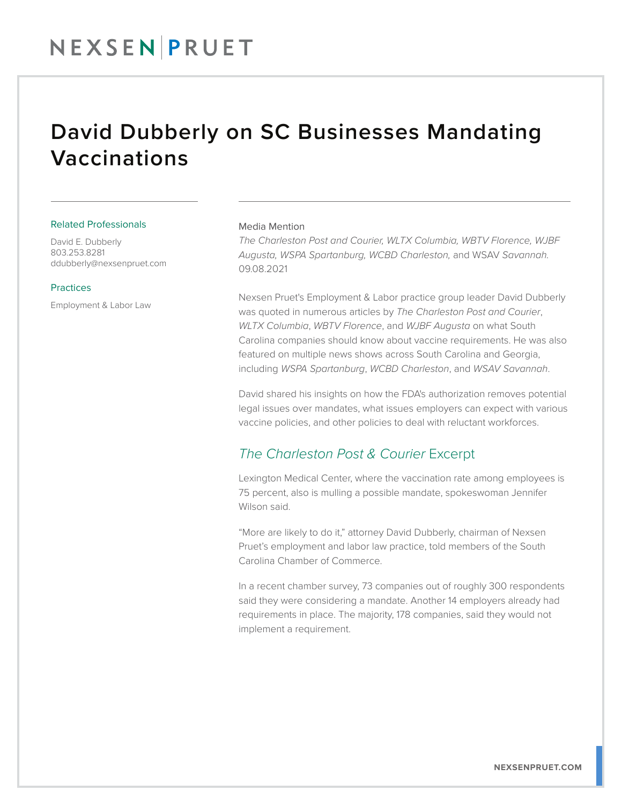## David Dubberly on SC Businesses Mandating Vaccinations

#### Related Professionals

David E. Dubberly 803.253.8281 ddubberly@nexsenpruet.com

### Practices

Employment & Labor Law

### Media Mention

*The Charleston Post and Courier, WLTX Columbia, WBTV Florence, WJBF Augusta, WSPA Spartanburg, WCBD Charleston,* and WSAV *Savannah.* 09.08.2021

Nexsen Pruet's Employment & Labor practice group leader David Dubberly was quoted in numerous articles by *The Charleston Post and Courier*, *WLTX Columbia*, *WBTV Florence*, and *WJBF Augusta* on what South Carolina companies should know about vaccine requirements. He was also featured on multiple news shows across South Carolina and Georgia, including *WSPA Spartanburg*, *WCBD Charleston*, and *WSAV Savannah*.

David shared his insights on how the FDA's authorization removes potential legal issues over mandates, what issues employers can expect with various vaccine policies, and other policies to deal with reluctant workforces.

## *The Charleston Post & Courier* Excerpt

Lexington Medical Center, where the vaccination rate among employees is 75 percent, also is mulling a possible mandate, spokeswoman Jennifer Wilson said.

"More are likely to do it," attorney David Dubberly, chairman of Nexsen Pruet's employment and labor law practice, told members of the South Carolina Chamber of Commerce.

In a recent chamber survey, 73 companies out of roughly 300 respondents said they were considering a mandate. Another 14 employers already had requirements in place. The majority, 178 companies, said they would not implement a requirement.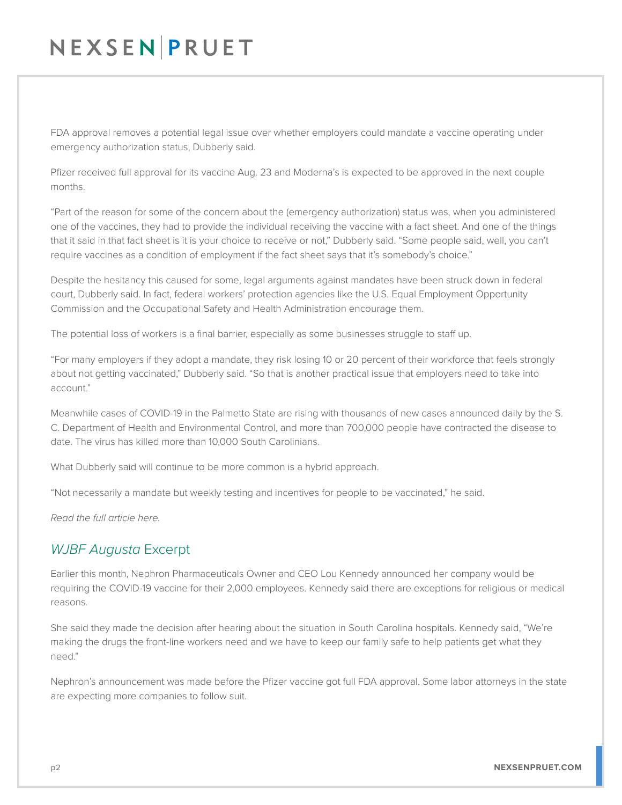# NEXSEN PRUET

FDA approval removes a potential legal issue over whether employers could mandate a vaccine operating under emergency authorization status, Dubberly said.

Pfizer received full approval for its vaccine Aug. 23 and Moderna's is expected to be approved in the next couple months.

"Part of the reason for some of the concern about the (emergency authorization) status was, when you administered one of the vaccines, they had to provide the individual receiving the vaccine with a fact sheet. And one of the things that it said in that fact sheet is it is your choice to receive or not," Dubberly said. "Some people said, well, you can't require vaccines as a condition of employment if the fact sheet says that it's somebody's choice."

Despite the hesitancy this caused for some, legal arguments against mandates have been struck down in federal court, Dubberly said. In fact, federal workers' protection agencies like the U.S. Equal Employment Opportunity Commission and the Occupational Safety and Health Administration encourage them.

The potential loss of workers is a final barrier, especially as some businesses struggle to staff up.

"For many employers if they adopt a mandate, they risk losing 10 or 20 percent of their workforce that feels strongly about not getting vaccinated," Dubberly said. "So that is another practical issue that employers need to take into account."

Meanwhile cases of COVID-19 in the Palmetto State are rising with thousands of new cases announced daily by the S. C. Department of Health and Environmental Control, and more than 700,000 people have contracted the disease to date. The virus has killed more than 10,000 South Carolinians.

What Dubberly said will continue to be more common is a hybrid approach.

"Not necessarily a mandate but weekly testing and incentives for people to be vaccinated," he said.

*Read the full article here.* 

## *WJBF Augusta* Excerpt

Earlier this month, Nephron Pharmaceuticals Owner and CEO Lou Kennedy announced her company would be requiring the COVID-19 vaccine for their 2,000 employees. Kennedy said there are exceptions for religious or medical reasons.

She said they made the decision after hearing about the situation in South Carolina hospitals. Kennedy said, "We're making the drugs the front-line workers need and we have to keep our family safe to help patients get what they need."

Nephron's announcement was made before the Pfizer vaccine got full FDA approval. Some labor attorneys in the state are expecting more companies to follow suit.